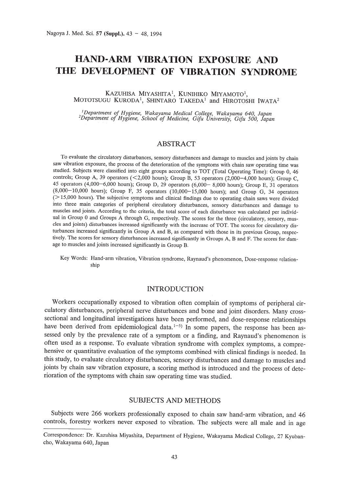# **HAND-ARM VIBRATION EXPOSURE AND THE DEVELOPMENT OF VffiRATION SYNDROME**

## KAZUHISA MIYASHITA!, KUNIHIKO MIYAMOTO!, MOTOTSUGU KURODA<sup>1</sup>, SHINTARO TAKEDA<sup>1</sup> and HIROTOSHI IWATA<sup>2</sup>

<sup>1</sup>Department of Hygiene, Wakayama Medical College, Wakayama 640, Japan<br><sup>2</sup>Department of Hygiene, School of Medicine, Gifu University, Gifu 500, Japar

# ABSTRACT

To evaluate the circulatory disturbances, sensory disturbances and damage to muscles and joints by chain saw vibration exposure, the process of the deterioration of the symptoms with chain saw operating time was studied. Subjects were classified into eight groups according to TOT (Total Operating Time): Group 0, 46 controls; Group A, 39 operators  $\langle$  < 2,000 hours); Group B, 53 operators (2,000-4,000 hours); Group C, 45 operators (4,000-6,000 hours); Group D, 29 operators (6,000- 8,000 hours); Group E, 31 operators (8,000-10,000 hours); Group F, 35 operators (10,000-15,000 hours); and Group G, 34 operators (>15,000 hours). The subjective symptoms and clinical findings due to operating chain saws were divided into three main categories of peripheral circulatory disturbances, sensory disturbances and damage to muscles and joints. According to the criteria, the total score of each disturbance was calculated per individual in Group 0 and Groups A through G, respectively. The scores for the three (circulatory, sensory, muscles and joints) disturbances increased significantly with the increase of TOT. The scores for circulatory disturbances increased significantly in Group A and B, as compared with those in its previous Group, respectively. The scores for sensory disturbances increased significantly in Groups A, Band F. The scores for damage to muscles and joints increased significantly in Group B.

Key Words: Hand-arm vibration, Vibration syndrome, Raynaud's phenomenon, Dose-response relationship

# INTRODUCTION

Workers occupationally exposed to vibration often complain of symptoms of peripheral circulatory disturbances, peripheral nerve disturbances and bone and joint disorders. Many crosssectional and longitudinal investigations have been performed, and dose-response relationships have been derived from epidemiological data.<sup>1-5)</sup> In some papers, the response has been assessed only by the prevalence rate of a symptom or a finding, and Raynaud's phenomenon is often used as a response. To evaluate vibration syndrome with complex symptoms, a comprehensive or quantitative evaluation of the symptoms combined with clinical findings is needed. In this study, to evaluate circulatory disturbances, sensory disturbances and damage to muscles and joints by chain saw vibration exposure, a scoring method is introduced and the process of deterioration of the symptoms with chain saw operating time was studied.

## SUBJECTS AND METHODS

Subjects were 266 workers professionally exposed to chain saw hand-arm vibration, and 46 controls, forestry workers never exposed to vibration. The subjects were all male and in age

Correspondence: Dr. Kazuhisa Miyashita, Department of Hygiene, Wakayama Medical College, 27 Kyubancho, Wakayama 640, Japan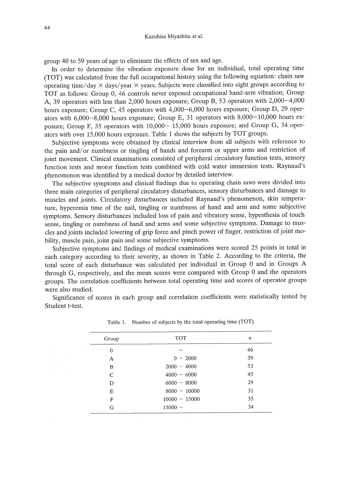group 40 to 59 years of age to eliminate the effects of sex and age.

**In** order to determine the vibration exposure dose for an individual, total operating time (TOT) was calculated from the full occupational history using the following equation: chain saw operating time/day  $\times$  days/year  $\times$  years. Subjects were classified into eight groups according to TOT as follows: Group 0, 46 controls never exposed occupational hand-arm vibration; Group A, 39 operators with less than 2,000 hours exposure; Group B, 53 operators with 2,000-4,000 hours exposure; Group C, 45 operators with 4,000–6,000 hours exposure; Group D, 29 operators with 6,000-8,000 hours exposure; Group E, 31 operators with 8,000-10,000 hours exposure; Group F, 35 operators with 10,000 - 15,000 hours exposure; and Group G, 34 operators with over 15,000 hours exposure. Table 1 shows the subjects by TOT groups.

Subjective symptoms were obtained by clinical interview from all subjects with reference to the pain and/or numbness or tingling of hands and forearm or upper arms and restriction of joint movement. Clinical examinations consisted of peripheral circulatory function tests, sensory function tests and motor function tests combined with cold water immersion tests. Raynaud's phenomenon was identified by a medical doctor by detailed interview.

The subjective symptoms and clinical findings due to operating chain saws were divided into three main categories of peripheral circulatory disturbances, sensory disturbances and damage to muscles and joints. Circulatory disturbances included Raynaud's phenomenon, skin temperature, hyperemia time of the nail, tingling or numbness of hand and arm and some subjective symptoms. Sensory disturbances included loss of pain and vibratory sense, hypesthesia of touch sense, tingling or numbness of hand and arms and some subjective symptoms. Damage to muscles and joints included lowering of grip force and pinch power of finger, restriction of joint mobility, muscle pain, joint pain and some subjective symptoms.

Subjective symptoms and findings of medical examinations were scored 25 points in total in each category according to their severity, as shown in Table 2. According to the criteria, the total score of each disturbance was calculated per individual in Group 0 and in Groups A through G, respectively, and the mean scores were compared with Group 0 and the operators groups. The correlation coefficients between total operating time and scores of operator groups were also studied.

Significance of scores in each group and correlation coefficients were statistically tested by Student t-test.

| Group         | <b>TOT</b>        | n  |
|---------------|-------------------|----|
| 0             |                   | 46 |
| A             | $0 \sim 2000$     | 39 |
| В             | $2000 - 4000$     | 53 |
| $\mathcal{C}$ | $4000 \sim 6000$  | 45 |
| D             | $6000 - 8000$     | 29 |
| E             | $8000 \sim 10000$ | 31 |
| F             | $10000 - 15000$   | 35 |
| G             | $15000 -$         | 34 |

Table 1. Number of subjects by the total operating time (TOT)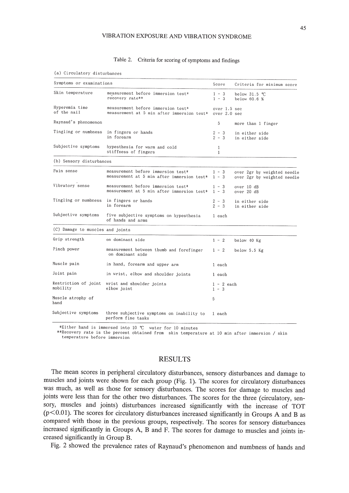#### VIBRATION EXPOSURE AND VIBRATION SYNDROME

## Table 2. Criteria for scoring of symptoms and findings

#### (a) Circulatory disturbances

| Symptoms or examinations         |                                                                                               | Score                   | Criteria for minimum score                                 |
|----------------------------------|-----------------------------------------------------------------------------------------------|-------------------------|------------------------------------------------------------|
| Skin temperature                 | measurement before immersion test*<br>recovery rate**                                         | $1 - 3$<br>$1 - 3$      | below $31.5$ °C<br>below $60.6%$                           |
| Hyperemia time<br>of the nail    | measurement before immersion test*<br>measurement at 5 min after immersion test* over 2.0 sec | over $1.5$ sec          |                                                            |
| Raynaud's phenomenon             |                                                                                               | 5                       | more than 1 finger                                         |
| Tingling or numbness             | in fingers or hands<br>in forearm                                                             | $2 - 3$<br>$2 - 3$      | in either side<br>in either side                           |
| Subjective symptoms              | hypesthesia for warm and cold<br>stiffness of fingers                                         | 1<br>$\mathbf{1}$       |                                                            |
| (b) Sensory disturbances         |                                                                                               |                         |                                                            |
| Pain sense                       | measurement before immersion test*<br>measurement at 5 min after immersion test*              | $1 - 3$<br>$1 - 3$      | over 2gr by weighted needle<br>over 2gr by weighted needle |
| Vibratory sense                  | measurement before immersion test*<br>measurement at 5 min after immersion test*              | $1 - 3$<br>$1 - 3$      | over 10 dB<br>over 20 dB                                   |
| Tingling or numbness             | in fingers or hands<br>in forearm                                                             | $2 - 3$<br>$2 - 3$      | in either side<br>in either side                           |
| Subjective symptoms              | five subjective symptoms on hypesthesia<br>of hands and arms                                  | 1 each                  |                                                            |
| (C) Damage to muscles and joints |                                                                                               |                         |                                                            |
| Grip strength                    | on dominant side                                                                              | $1 - 2$                 | below 40 Kg                                                |
| Pinch power                      | measurement between thumb and forefinger<br>on dominant side                                  | $1 - 2$                 | below 5.5 Kg                                               |
| Muscle pain                      | in hand, forearm and upper arm                                                                | 1 each                  |                                                            |
| Joint pain                       | in wrist, elbow and shoulder joints                                                           | 1 each                  |                                                            |
| mobility                         | Restriction of joint wrist and shoulder joints<br>elbow joint                                 | $1 - 2$ each<br>$1 - 3$ |                                                            |
| Muscle atrophy of<br>hand        |                                                                                               | 5                       |                                                            |
| Subjective symptoms              | three subjective symptoms on inability to<br>perform fine tasks                               | 1 each                  |                                                            |

\*Either hand is immersed into 10 °C water for 10 minutes

\*\*Recovery rate is the percent obtained from skin temperature at 10 min after immersion / skin temperature before immersion

## **RESULTS**

The mean scores in peripheral circulatory disturbances, sensory disturbances and damage to muscles and joints were shown for each group (Fig. 1). The scores for circulatory disturbances was much, as well as those for sensory disturbances. The scores for damage to muscles and joints were less than for the other two disturbances. The scores for the three (circulatory, sensory, muscles and joints) disturbances increased significantly with the increase of TOT  $(p<0.01)$ . The scores for circulatory disturbances increased significantly in Groups A and B as compared with those in the previous groups, respectively. The scores for sensory disturbances increased significantly in Groups A, B and F. The scores for damage to muscles and joints increased significantly in Group B.

Fig. 2 showed the prevalence rates of Raynaud's phenomenon and numbness of hands and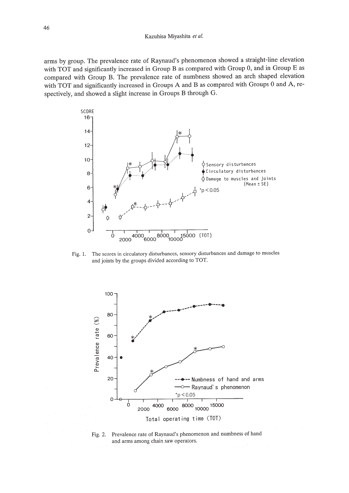arms by group. The prevalence rate of Raynaud's phenomenon showed a straight-line elevation with TOT and significantly increased in Group B as compared with Group 0, and in Group E as compared with Group B. The prevalence rate of numbness showed an arch shaped elevation with TOT and significantly increased in Groups A and B as compared with Groups 0 and A, respectively, and showed a slight increase in Groups B through G.



Fig. 1. The scores in circulatory disturbances, sensory disturbances and damage to muscles and joints by the groups divided according to TOT.



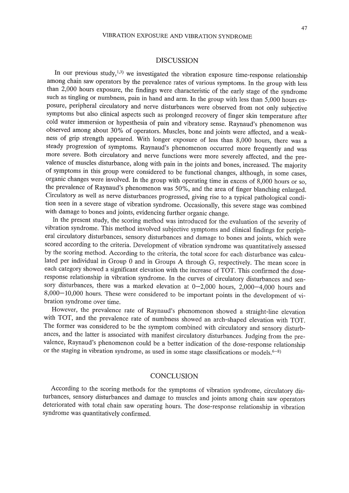## DISCUSSION

In our previous study,<sup>1,3)</sup> we investigated the vibration exposure time-response relationship among chain saw operators by the prevalence rates of various symptoms. In the group with less than 2,000 hours exposure, the findings were characteristic of the early stage of the syndrome such as tingling or numbness, pain in hand and arm. In the group with less than 5,000 hours exposure, peripheral circulatory and nerve disturbances were observed from not only subjective symptoms but also clinical aspects such as prolonged recovery of finger skin temperature after cold water immersion or hypesthesia of pain and vibratory sense. Raynaud's phenomenon was observed among about 30% of operators. Muscles, bone and joints were affected, and a weakness of grip strength appeared. With longer exposure of less than 8,000 hours, there was a steady progression of symptoms. Raynaud's phenomenon occurred more frequently and was more severe. Both circulatory and nerve functions were more severely affected, and the prevalence of muscles disturbance, along with pain in the joints and bones, increased. The majority of symptoms in this group were considered to be functional changes, although, in some cases, organic changes were involved. In the group with operating time in excess of 8,000 hours or so, the prevalence of Raynaud's phenomenon was 50%, and the area of finger blanching enlarged. Circulatory as well as nerve disturbances progressed, giving rise to a typical pathological condition seen in a severe stage of vibration syndrome. Occasionally, this severe stage was combined with damage to bones and joints, evidencing further organic change.

In the present study, the scoring method was introduced for the evaluation of the severity of vibration syndrome. This method involved subjective symptoms and clinical findings for peripheral circulatory disturbances, sensory disturbances and damage to bones and joints, which were scored according to the criteria. Development of vibration syndrome was quantitatively assessed by the scoring method. According to the criteria, the total score for each disturbance was calculated per individual in Group 0 and in Groups A through G, respectively. The mean score in each category showed a significant elevation with the increase of TOT. This confirmed the doseresponse relationship in vibration syndrome. In the curves of circulatory disturbances and sensory disturbances, there was a marked elevation at  $0-2,000$  hours,  $2,000-4,000$  hours and 8,000-10,000 hours. These were considered to be important points in the development of vibration syndrome over time.

However, the prevalence rate of Raynaud's phenomenon showed a straight-line elevation with TOT, and the prevalence rate of numbness showed an arch-shaped elevation with TOT. The former was considered to be the symptom combined with circulatory and sensory disturbances, and the latter is associated with manifest circulatory disturbances. Judging from the prevalence, Raynaud's phenomenon could be a better indication of the dose-response relationship or the staging in vibration syndrome, as used in some stage classifications or models.  $6-8$ 

## **CONCLUSION**

According to the scoring methods for the symptoms of vibration syndrome, circulatory disturbances, sensory disturbances and damage to muscles and joints among chain saw operators deteriorated with total chain saw operating hours. The dose-response relationship in vibration syndrome was quantitatively confirmed.